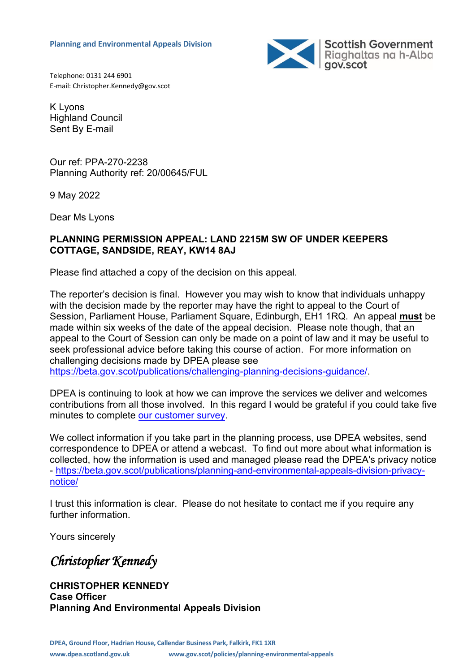

Telephone: 0131 244 6901 E-mail: Christopher.Kennedy@gov.scot

K Lyons Highland Council Sent By E-mail

Our ref: PPA-270-2238 Planning Authority ref: 20/00645/FUL

9 May 2022

Dear Ms Lyons

### **PLANNING PERMISSION APPEAL: LAND 2215M SW OF UNDER KEEPERS COTTAGE, SANDSIDE, REAY, KW14 8AJ**

Please find attached a copy of the decision on this appeal.

The reporter's decision is final. However you may wish to know that individuals unhappy with the decision made by the reporter may have the right to appeal to the Court of Session, Parliament House, Parliament Square, Edinburgh, EH1 1RQ. An appeal **must** be made within six weeks of the date of the appeal decision. Please note though, that an appeal to the Court of Session can only be made on a point of law and it may be useful to seek professional advice before taking this course of action. For more information on challenging decisions made by DPEA please see [https://beta.gov.scot/publications/challenging-planning-decisions-guidance/.](https://beta.gov.scot/publications/challenging-planning-decisions-guidance/)

DPEA is continuing to look at how we can improve the services we deliver and welcomes contributions from all those involved. In this regard I would be grateful if you could take five minutes to complete [our customer survey.](https://forms.office.com/r/FdutaBquj7)

We collect information if you take part in the planning process, use DPEA websites, send correspondence to DPEA or attend a webcast. To find out more about what information is collected, how the information is used and managed please read the DPEA's privacy notice - [https://beta.gov.scot/publications/planning-and-environmental-appeals-division-privacy](https://beta.gov.scot/publications/planning-and-environmental-appeals-division-privacy-notice/)[notice/](https://beta.gov.scot/publications/planning-and-environmental-appeals-division-privacy-notice/)

I trust this information is clear. Please do not hesitate to contact me if you require any further information.

Yours sincerely

*Christopher Kennedy* 

**CHRISTOPHER KENNEDY Case Officer Planning And Environmental Appeals Division**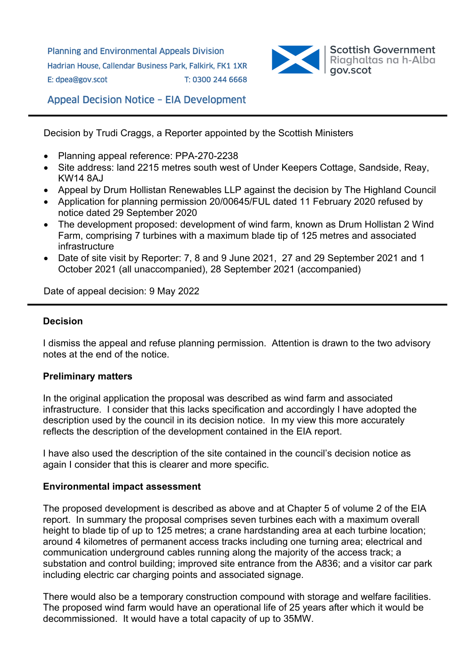Planning and Environmental Appeals Division Hadrian House, Callendar Business Park, Falkirk, FK1 1XR E: dpea@gov.scot T: 0300 244 6668



Appeal Decision Notice – EIA Development

Decision by Trudi Craggs, a Reporter appointed by the Scottish Ministers

- Planning appeal reference: PPA-270-2238
- Site address: land 2215 metres south west of Under Keepers Cottage, Sandside, Reay, KW14 8AJ
- Appeal by Drum Hollistan Renewables LLP against the decision by The Highland Council
- Application for planning permission 20/00645/FUL dated 11 February 2020 refused by notice dated 29 September 2020
- The development proposed: development of wind farm, known as Drum Hollistan 2 Wind Farm, comprising 7 turbines with a maximum blade tip of 125 metres and associated infrastructure
- Date of site visit by Reporter: 7, 8 and 9 June 2021, 27 and 29 September 2021 and 1 October 2021 (all unaccompanied), 28 September 2021 (accompanied)

Date of appeal decision: 9 May 2022

#### **Decision**

I dismiss the appeal and refuse planning permission. Attention is drawn to the two advisory notes at the end of the notice.

#### **Preliminary matters**

In the original application the proposal was described as wind farm and associated infrastructure. I consider that this lacks specification and accordingly I have adopted the description used by the council in its decision notice. In my view this more accurately reflects the description of the development contained in the EIA report.

I have also used the description of the site contained in the council's decision notice as again I consider that this is clearer and more specific.

#### **Environmental impact assessment**

The proposed development is described as above and at Chapter 5 of volume 2 of the EIA report. In summary the proposal comprises seven turbines each with a maximum overall height to blade tip of up to 125 metres; a crane hardstanding area at each turbine location; around 4 kilometres of permanent access tracks including one turning area; electrical and communication underground cables running along the majority of the access track; a substation and control building; improved site entrance from the A836; and a visitor car park including electric car charging points and associated signage.

There would also be a temporary construction compound with storage and welfare facilities. The proposed wind farm would have an operational life of 25 years after which it would be decommissioned. It would have a total capacity of up to 35MW.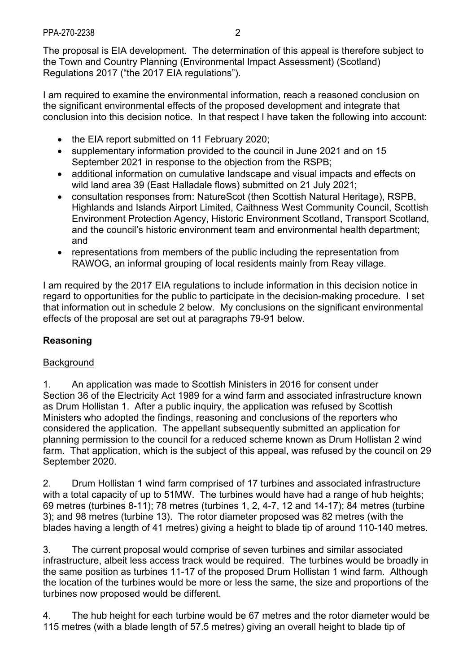The proposal is EIA development. The determination of this appeal is therefore subject to the Town and Country Planning (Environmental Impact Assessment) (Scotland) Regulations 2017 ("the 2017 EIA regulations").

I am required to examine the environmental information, reach a reasoned conclusion on the significant environmental effects of the proposed development and integrate that conclusion into this decision notice. In that respect I have taken the following into account:

- the EIA report submitted on 11 February 2020;
- supplementary information provided to the council in June 2021 and on 15 September 2021 in response to the objection from the RSPB;
- additional information on cumulative landscape and visual impacts and effects on wild land area 39 (East Halladale flows) submitted on 21 July 2021;
- consultation responses from: NatureScot (then Scottish Natural Heritage), RSPB, Highlands and Islands Airport Limited, Caithness West Community Council, Scottish Environment Protection Agency, Historic Environment Scotland, Transport Scotland, and the council's historic environment team and environmental health department; and
- representations from members of the public including the representation from RAWOG, an informal grouping of local residents mainly from Reay village.

I am required by the 2017 EIA regulations to include information in this decision notice in regard to opportunities for the public to participate in the decision-making procedure. I set that information out in schedule 2 below. My conclusions on the significant environmental effects of the proposal are set out at paragraphs 79-91 below.

# **Reasoning**

## **Background**

1. An application was made to Scottish Ministers in 2016 for consent under Section 36 of the Electricity Act 1989 for a wind farm and associated infrastructure known as Drum Hollistan 1. After a public inquiry, the application was refused by Scottish Ministers who adopted the findings, reasoning and conclusions of the reporters who considered the application. The appellant subsequently submitted an application for planning permission to the council for a reduced scheme known as Drum Hollistan 2 wind farm. That application, which is the subject of this appeal, was refused by the council on 29 September 2020.

2. Drum Hollistan 1 wind farm comprised of 17 turbines and associated infrastructure with a total capacity of up to 51MW. The turbines would have had a range of hub heights: 69 metres (turbines 8-11); 78 metres (turbines 1, 2, 4-7, 12 and 14-17); 84 metres (turbine 3); and 98 metres (turbine 13). The rotor diameter proposed was 82 metres (with the blades having a length of 41 metres) giving a height to blade tip of around 110-140 metres.

3. The current proposal would comprise of seven turbines and similar associated infrastructure, albeit less access track would be required. The turbines would be broadly in the same position as turbines 11-17 of the proposed Drum Hollistan 1 wind farm. Although the location of the turbines would be more or less the same, the size and proportions of the turbines now proposed would be different.

4. The hub height for each turbine would be 67 metres and the rotor diameter would be 115 metres (with a blade length of 57.5 metres) giving an overall height to blade tip of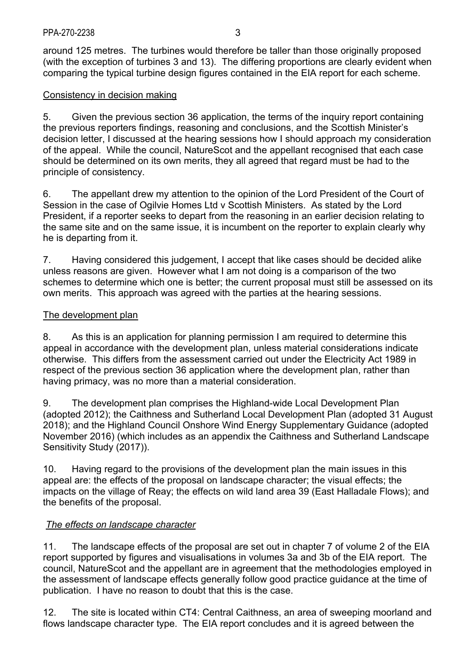around 125 metres. The turbines would therefore be taller than those originally proposed (with the exception of turbines 3 and 13). The differing proportions are clearly evident when comparing the typical turbine design figures contained in the EIA report for each scheme.

### Consistency in decision making

5. Given the previous section 36 application, the terms of the inquiry report containing the previous reporters findings, reasoning and conclusions, and the Scottish Minister's decision letter, I discussed at the hearing sessions how I should approach my consideration of the appeal. While the council, NatureScot and the appellant recognised that each case should be determined on its own merits, they all agreed that regard must be had to the principle of consistency.

6. The appellant drew my attention to the opinion of the Lord President of the Court of Session in the case of Ogilvie Homes Ltd v Scottish Ministers. As stated by the Lord President, if a reporter seeks to depart from the reasoning in an earlier decision relating to the same site and on the same issue, it is incumbent on the reporter to explain clearly why he is departing from it.

7. Having considered this judgement, I accept that like cases should be decided alike unless reasons are given. However what I am not doing is a comparison of the two schemes to determine which one is better; the current proposal must still be assessed on its own merits. This approach was agreed with the parties at the hearing sessions.

### The development plan

8. As this is an application for planning permission I am required to determine this appeal in accordance with the development plan, unless material considerations indicate otherwise. This differs from the assessment carried out under the Electricity Act 1989 in respect of the previous section 36 application where the development plan, rather than having primacy, was no more than a material consideration.

9. The development plan comprises the Highland-wide Local Development Plan (adopted 2012); the Caithness and Sutherland Local Development Plan (adopted 31 August 2018); and the Highland Council Onshore Wind Energy Supplementary Guidance (adopted November 2016) (which includes as an appendix the Caithness and Sutherland Landscape Sensitivity Study (2017)).

10. Having regard to the provisions of the development plan the main issues in this appeal are: the effects of the proposal on landscape character; the visual effects; the impacts on the village of Reay; the effects on wild land area 39 (East Halladale Flows); and the benefits of the proposal.

## *The effects on landscape character*

11. The landscape effects of the proposal are set out in chapter 7 of volume 2 of the EIA report supported by figures and visualisations in volumes 3a and 3b of the EIA report. The council, NatureScot and the appellant are in agreement that the methodologies employed in the assessment of landscape effects generally follow good practice guidance at the time of publication. I have no reason to doubt that this is the case.

12. The site is located within CT4: Central Caithness, an area of sweeping moorland and flows landscape character type. The EIA report concludes and it is agreed between the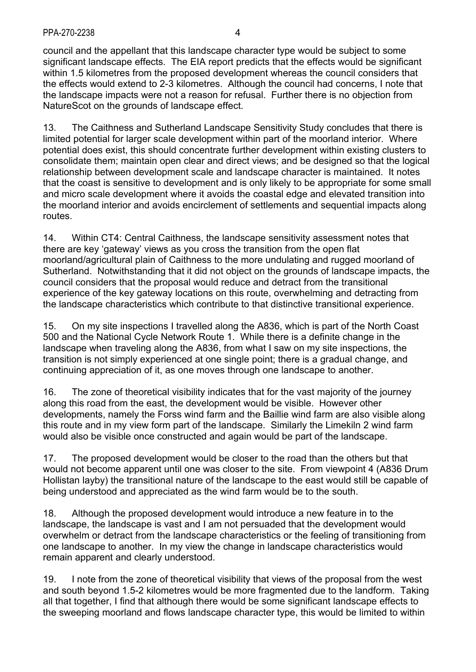council and the appellant that this landscape character type would be subject to some significant landscape effects. The EIA report predicts that the effects would be significant within 1.5 kilometres from the proposed development whereas the council considers that the effects would extend to 2-3 kilometres. Although the council had concerns, I note that the landscape impacts were not a reason for refusal. Further there is no objection from NatureScot on the grounds of landscape effect.

13. The Caithness and Sutherland Landscape Sensitivity Study concludes that there is limited potential for larger scale development within part of the moorland interior. Where potential does exist, this should concentrate further development within existing clusters to consolidate them; maintain open clear and direct views; and be designed so that the logical relationship between development scale and landscape character is maintained. It notes that the coast is sensitive to development and is only likely to be appropriate for some small and micro scale development where it avoids the coastal edge and elevated transition into the moorland interior and avoids encirclement of settlements and sequential impacts along routes.

14. Within CT4: Central Caithness, the landscape sensitivity assessment notes that there are key 'gateway' views as you cross the transition from the open flat moorland/agricultural plain of Caithness to the more undulating and rugged moorland of Sutherland. Notwithstanding that it did not object on the grounds of landscape impacts, the council considers that the proposal would reduce and detract from the transitional experience of the key gateway locations on this route, overwhelming and detracting from the landscape characteristics which contribute to that distinctive transitional experience.

15. On my site inspections I travelled along the A836, which is part of the North Coast 500 and the National Cycle Network Route 1. While there is a definite change in the landscape when traveling along the A836, from what I saw on my site inspections, the transition is not simply experienced at one single point; there is a gradual change, and continuing appreciation of it, as one moves through one landscape to another.

16. The zone of theoretical visibility indicates that for the vast majority of the journey along this road from the east, the development would be visible. However other developments, namely the Forss wind farm and the Baillie wind farm are also visible along this route and in my view form part of the landscape. Similarly the Limekiln 2 wind farm would also be visible once constructed and again would be part of the landscape.

17. The proposed development would be closer to the road than the others but that would not become apparent until one was closer to the site. From viewpoint 4 (A836 Drum Hollistan layby) the transitional nature of the landscape to the east would still be capable of being understood and appreciated as the wind farm would be to the south.

18. Although the proposed development would introduce a new feature in to the landscape, the landscape is vast and I am not persuaded that the development would overwhelm or detract from the landscape characteristics or the feeling of transitioning from one landscape to another. In my view the change in landscape characteristics would remain apparent and clearly understood.

19. I note from the zone of theoretical visibility that views of the proposal from the west and south beyond 1.5-2 kilometres would be more fragmented due to the landform. Taking all that together, I find that although there would be some significant landscape effects to the sweeping moorland and flows landscape character type, this would be limited to within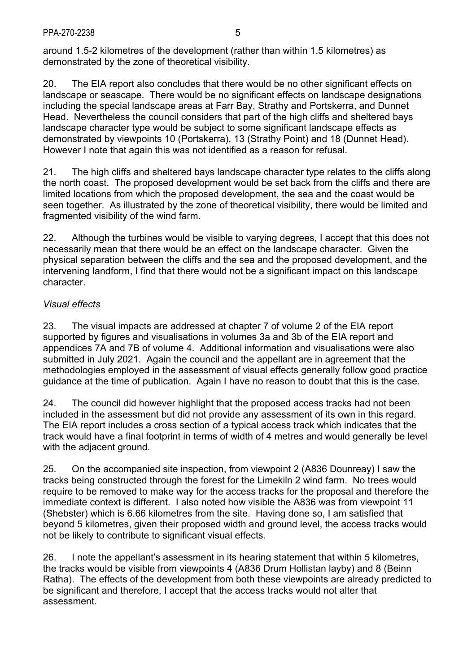around 1.5-2 kilometres of the development (rather than within 1.5 kilometres) as demonstrated by the zone of theoretical visibility.

20. The EIA report also concludes that there would be no other significant effects on landscape or seascape. There would be no significant effects on landscape designations including the special landscape areas at Farr Bay, Strathy and Portskerra, and Dunnet Head. Nevertheless the council considers that part of the high cliffs and sheltered bays landscape character type would be subject to some significant landscape effects as demonstrated by viewpoints 10 (Portskerra), 13 (Strathy Point) and 18 (Dunnet Head). However I note that again this was not identified as a reason for refusal.

21. The high cliffs and sheltered bays landscape character type relates to the cliffs along the north coast. The proposed development would be set back from the cliffs and there are limited locations from which the proposed development, the sea and the coast would be seen together. As illustrated by the zone of theoretical visibility, there would be limited and fragmented visibility of the wind farm.

22. Although the turbines would be visible to varying degrees, I accept that this does not necessarily mean that there would be an effect on the landscape character. Given the physical separation between the cliffs and the sea and the proposed development, and the intervening landform, I find that there would not be a significant impact on this landscape character.

## *Visual effects*

23. The visual impacts are addressed at chapter 7 of volume 2 of the EIA report supported by figures and visualisations in volumes 3a and 3b of the EIA report and appendices 7A and 7B of volume 4. Additional information and visualisations were also submitted in July 2021. Again the council and the appellant are in agreement that the methodologies employed in the assessment of visual effects generally follow good practice guidance at the time of publication. Again I have no reason to doubt that this is the case.

24. The council did however highlight that the proposed access tracks had not been included in the assessment but did not provide any assessment of its own in this regard. The EIA report includes a cross section of a typical access track which indicates that the track would have a final footprint in terms of width of 4 metres and would generally be level with the adjacent ground.

25. On the accompanied site inspection, from viewpoint 2 (A836 Dounreay) I saw the tracks being constructed through the forest for the Limekiln 2 wind farm. No trees would require to be removed to make way for the access tracks for the proposal and therefore the immediate context is different. I also noted how visible the A836 was from viewpoint 11 (Shebster) which is 6.66 kilometres from the site. Having done so, I am satisfied that beyond 5 kilometres, given their proposed width and ground level, the access tracks would not be likely to contribute to significant visual effects.

26. I note the appellant's assessment in its hearing statement that within 5 kilometres, the tracks would be visible from viewpoints 4 (A836 Drum Hollistan layby) and 8 (Beinn Ratha). The effects of the development from both these viewpoints are already predicted to be significant and therefore, I accept that the access tracks would not alter that assessment.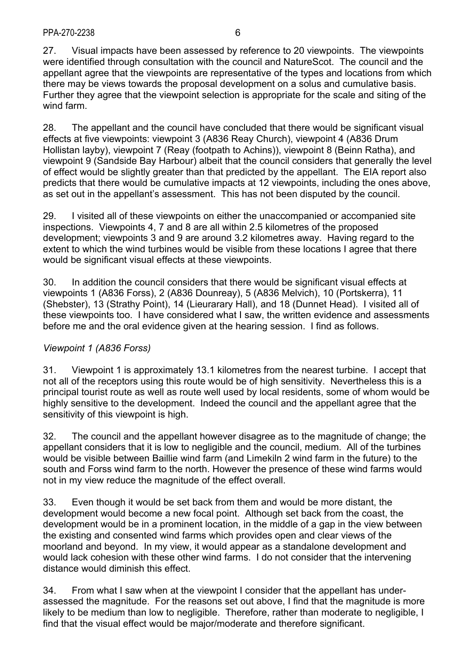27. Visual impacts have been assessed by reference to 20 viewpoints. The viewpoints were identified through consultation with the council and NatureScot. The council and the appellant agree that the viewpoints are representative of the types and locations from which there may be views towards the proposal development on a solus and cumulative basis. Further they agree that the viewpoint selection is appropriate for the scale and siting of the wind farm.

28. The appellant and the council have concluded that there would be significant visual effects at five viewpoints: viewpoint 3 (A836 Reay Church), viewpoint 4 (A836 Drum Hollistan layby), viewpoint 7 (Reay (footpath to Achins)), viewpoint 8 (Beinn Ratha), and viewpoint 9 (Sandside Bay Harbour) albeit that the council considers that generally the level of effect would be slightly greater than that predicted by the appellant. The EIA report also predicts that there would be cumulative impacts at 12 viewpoints, including the ones above, as set out in the appellant's assessment. This has not been disputed by the council.

29. I visited all of these viewpoints on either the unaccompanied or accompanied site inspections. Viewpoints 4, 7 and 8 are all within 2.5 kilometres of the proposed development; viewpoints 3 and 9 are around 3.2 kilometres away. Having regard to the extent to which the wind turbines would be visible from these locations I agree that there would be significant visual effects at these viewpoints.

30. In addition the council considers that there would be significant visual effects at viewpoints 1 (A836 Forss), 2 (A836 Dounreay), 5 (A836 Melvich), 10 (Portskerra), 11 (Shebster), 13 (Strathy Point), 14 (Lieurarary Hall), and 18 (Dunnet Head). I visited all of these viewpoints too. I have considered what I saw, the written evidence and assessments before me and the oral evidence given at the hearing session. I find as follows.

## *Viewpoint 1 (A836 Forss)*

31. Viewpoint 1 is approximately 13.1 kilometres from the nearest turbine. I accept that not all of the receptors using this route would be of high sensitivity. Nevertheless this is a principal tourist route as well as route well used by local residents, some of whom would be highly sensitive to the development. Indeed the council and the appellant agree that the sensitivity of this viewpoint is high.

32. The council and the appellant however disagree as to the magnitude of change; the appellant considers that it is low to negligible and the council, medium. All of the turbines would be visible between Baillie wind farm (and Limekiln 2 wind farm in the future) to the south and Forss wind farm to the north. However the presence of these wind farms would not in my view reduce the magnitude of the effect overall.

33. Even though it would be set back from them and would be more distant, the development would become a new focal point. Although set back from the coast, the development would be in a prominent location, in the middle of a gap in the view between the existing and consented wind farms which provides open and clear views of the moorland and beyond. In my view, it would appear as a standalone development and would lack cohesion with these other wind farms. I do not consider that the intervening distance would diminish this effect.

34. From what I saw when at the viewpoint I consider that the appellant has underassessed the magnitude. For the reasons set out above, I find that the magnitude is more likely to be medium than low to negligible. Therefore, rather than moderate to negligible, I find that the visual effect would be major/moderate and therefore significant.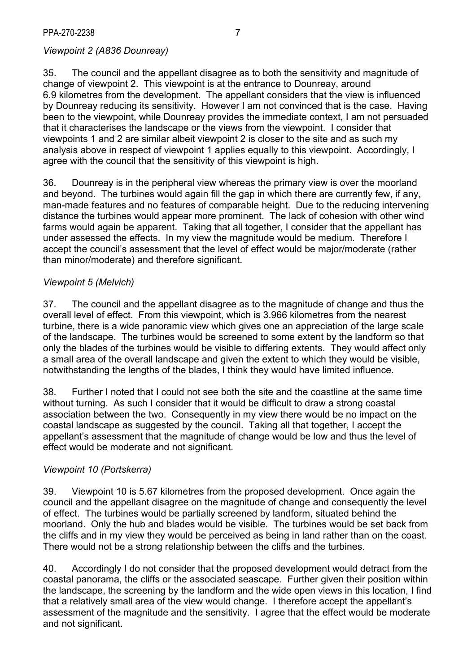## *Viewpoint 2 (A836 Dounreay)*

35. The council and the appellant disagree as to both the sensitivity and magnitude of change of viewpoint 2. This viewpoint is at the entrance to Dounreay, around 6.9 kilometres from the development. The appellant considers that the view is influenced by Dounreay reducing its sensitivity. However I am not convinced that is the case. Having been to the viewpoint, while Dounreay provides the immediate context, I am not persuaded that it characterises the landscape or the views from the viewpoint. I consider that viewpoints 1 and 2 are similar albeit viewpoint 2 is closer to the site and as such my analysis above in respect of viewpoint 1 applies equally to this viewpoint. Accordingly, I agree with the council that the sensitivity of this viewpoint is high.

36. Dounreay is in the peripheral view whereas the primary view is over the moorland and beyond. The turbines would again fill the gap in which there are currently few, if any, man-made features and no features of comparable height. Due to the reducing intervening distance the turbines would appear more prominent. The lack of cohesion with other wind farms would again be apparent. Taking that all together, I consider that the appellant has under assessed the effects. In my view the magnitude would be medium. Therefore I accept the council's assessment that the level of effect would be major/moderate (rather than minor/moderate) and therefore significant.

### *Viewpoint 5 (Melvich)*

37. The council and the appellant disagree as to the magnitude of change and thus the overall level of effect. From this viewpoint, which is 3.966 kilometres from the nearest turbine, there is a wide panoramic view which gives one an appreciation of the large scale of the landscape. The turbines would be screened to some extent by the landform so that only the blades of the turbines would be visible to differing extents. They would affect only a small area of the overall landscape and given the extent to which they would be visible, notwithstanding the lengths of the blades, I think they would have limited influence.

38. Further I noted that I could not see both the site and the coastline at the same time without turning. As such I consider that it would be difficult to draw a strong coastal association between the two. Consequently in my view there would be no impact on the coastal landscape as suggested by the council. Taking all that together, I accept the appellant's assessment that the magnitude of change would be low and thus the level of effect would be moderate and not significant.

### *Viewpoint 10 (Portskerra)*

39. Viewpoint 10 is 5.67 kilometres from the proposed development. Once again the council and the appellant disagree on the magnitude of change and consequently the level of effect. The turbines would be partially screened by landform, situated behind the moorland. Only the hub and blades would be visible. The turbines would be set back from the cliffs and in my view they would be perceived as being in land rather than on the coast. There would not be a strong relationship between the cliffs and the turbines.

40. Accordingly I do not consider that the proposed development would detract from the coastal panorama, the cliffs or the associated seascape. Further given their position within the landscape, the screening by the landform and the wide open views in this location, I find that a relatively small area of the view would change. I therefore accept the appellant's assessment of the magnitude and the sensitivity. I agree that the effect would be moderate and not significant.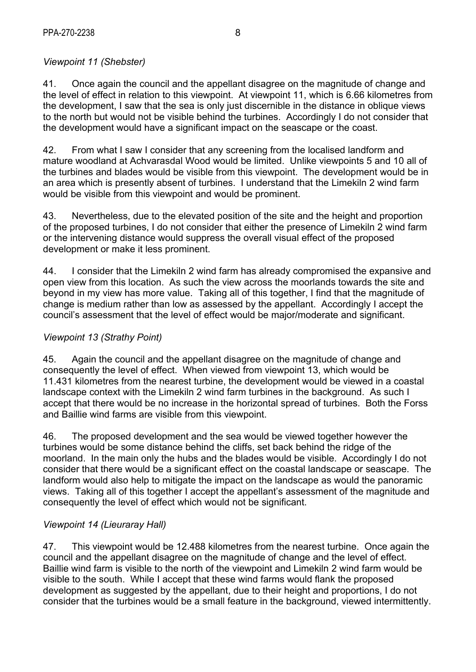# *Viewpoint 11 (Shebster)*

41. Once again the council and the appellant disagree on the magnitude of change and the level of effect in relation to this viewpoint. At viewpoint 11, which is 6.66 kilometres from the development, I saw that the sea is only just discernible in the distance in oblique views to the north but would not be visible behind the turbines. Accordingly I do not consider that the development would have a significant impact on the seascape or the coast.

42. From what I saw I consider that any screening from the localised landform and mature woodland at Achvarasdal Wood would be limited. Unlike viewpoints 5 and 10 all of the turbines and blades would be visible from this viewpoint. The development would be in an area which is presently absent of turbines. I understand that the Limekiln 2 wind farm would be visible from this viewpoint and would be prominent.

43. Nevertheless, due to the elevated position of the site and the height and proportion of the proposed turbines, I do not consider that either the presence of Limekiln 2 wind farm or the intervening distance would suppress the overall visual effect of the proposed development or make it less prominent.

44. I consider that the Limekiln 2 wind farm has already compromised the expansive and open view from this location. As such the view across the moorlands towards the site and beyond in my view has more value. Taking all of this together, I find that the magnitude of change is medium rather than low as assessed by the appellant. Accordingly I accept the council's assessment that the level of effect would be major/moderate and significant.

## *Viewpoint 13 (Strathy Point)*

45. Again the council and the appellant disagree on the magnitude of change and consequently the level of effect. When viewed from viewpoint 13, which would be 11.431 kilometres from the nearest turbine, the development would be viewed in a coastal landscape context with the Limekiln 2 wind farm turbines in the background. As such I accept that there would be no increase in the horizontal spread of turbines. Both the Forss and Baillie wind farms are visible from this viewpoint.

46. The proposed development and the sea would be viewed together however the turbines would be some distance behind the cliffs, set back behind the ridge of the moorland. In the main only the hubs and the blades would be visible. Accordingly I do not consider that there would be a significant effect on the coastal landscape or seascape. The landform would also help to mitigate the impact on the landscape as would the panoramic views. Taking all of this together I accept the appellant's assessment of the magnitude and consequently the level of effect which would not be significant.

## *Viewpoint 14 (Lieuraray Hall)*

47. This viewpoint would be 12.488 kilometres from the nearest turbine. Once again the council and the appellant disagree on the magnitude of change and the level of effect. Baillie wind farm is visible to the north of the viewpoint and Limekiln 2 wind farm would be visible to the south. While I accept that these wind farms would flank the proposed development as suggested by the appellant, due to their height and proportions. I do not consider that the turbines would be a small feature in the background, viewed intermittently.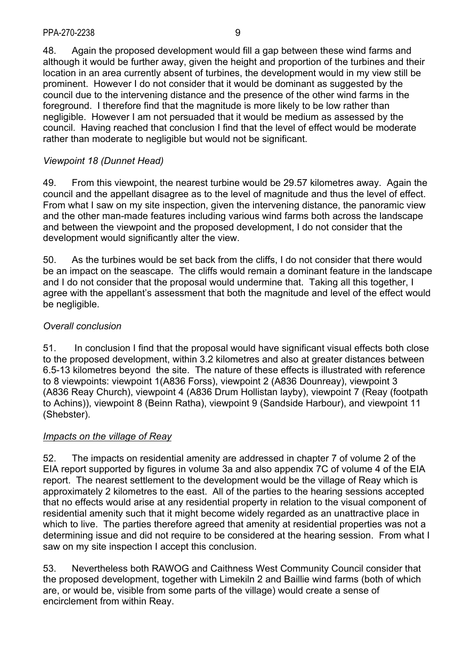48. Again the proposed development would fill a gap between these wind farms and although it would be further away, given the height and proportion of the turbines and their location in an area currently absent of turbines, the development would in my view still be prominent. However I do not consider that it would be dominant as suggested by the council due to the intervening distance and the presence of the other wind farms in the foreground. I therefore find that the magnitude is more likely to be low rather than negligible. However I am not persuaded that it would be medium as assessed by the council. Having reached that conclusion I find that the level of effect would be moderate rather than moderate to negligible but would not be significant.

## *Viewpoint 18 (Dunnet Head)*

49. From this viewpoint, the nearest turbine would be 29.57 kilometres away. Again the council and the appellant disagree as to the level of magnitude and thus the level of effect. From what I saw on my site inspection, given the intervening distance, the panoramic view and the other man-made features including various wind farms both across the landscape and between the viewpoint and the proposed development, I do not consider that the development would significantly alter the view.

50. As the turbines would be set back from the cliffs, I do not consider that there would be an impact on the seascape. The cliffs would remain a dominant feature in the landscape and I do not consider that the proposal would undermine that. Taking all this together, I agree with the appellant's assessment that both the magnitude and level of the effect would be negligible.

# *Overall conclusion*

51. In conclusion I find that the proposal would have significant visual effects both close to the proposed development, within 3.2 kilometres and also at greater distances between 6.5-13 kilometres beyond the site. The nature of these effects is illustrated with reference to 8 viewpoints: viewpoint 1(A836 Forss), viewpoint 2 (A836 Dounreay), viewpoint 3 (A836 Reay Church), viewpoint 4 (A836 Drum Hollistan layby), viewpoint 7 (Reay (footpath to Achins)), viewpoint 8 (Beinn Ratha), viewpoint 9 (Sandside Harbour), and viewpoint 11 (Shebster).

## *Impacts on the village of Reay*

52. The impacts on residential amenity are addressed in chapter 7 of volume 2 of the EIA report supported by figures in volume 3a and also appendix 7C of volume 4 of the EIA report. The nearest settlement to the development would be the village of Reay which is approximately 2 kilometres to the east. All of the parties to the hearing sessions accepted that no effects would arise at any residential property in relation to the visual component of residential amenity such that it might become widely regarded as an unattractive place in which to live. The parties therefore agreed that amenity at residential properties was not a determining issue and did not require to be considered at the hearing session. From what I saw on my site inspection I accept this conclusion.

53. Nevertheless both RAWOG and Caithness West Community Council consider that the proposed development, together with Limekiln 2 and Baillie wind farms (both of which are, or would be, visible from some parts of the village) would create a sense of encirclement from within Reay.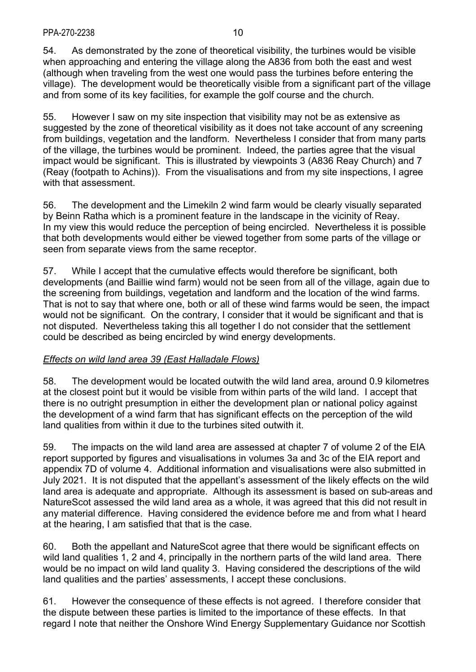54. As demonstrated by the zone of theoretical visibility, the turbines would be visible when approaching and entering the village along the A836 from both the east and west (although when traveling from the west one would pass the turbines before entering the village). The development would be theoretically visible from a significant part of the village and from some of its key facilities, for example the golf course and the church.

55. However I saw on my site inspection that visibility may not be as extensive as suggested by the zone of theoretical visibility as it does not take account of any screening from buildings, vegetation and the landform. Nevertheless I consider that from many parts of the village, the turbines would be prominent. Indeed, the parties agree that the visual impact would be significant. This is illustrated by viewpoints 3 (A836 Reay Church) and 7 (Reay (footpath to Achins)). From the visualisations and from my site inspections, I agree with that assessment.

56. The development and the Limekiln 2 wind farm would be clearly visually separated by Beinn Ratha which is a prominent feature in the landscape in the vicinity of Reay. In my view this would reduce the perception of being encircled. Nevertheless it is possible that both developments would either be viewed together from some parts of the village or seen from separate views from the same receptor.

57. While I accept that the cumulative effects would therefore be significant, both developments (and Baillie wind farm) would not be seen from all of the village, again due to the screening from buildings, vegetation and landform and the location of the wind farms. That is not to say that where one, both or all of these wind farms would be seen, the impact would not be significant. On the contrary, I consider that it would be significant and that is not disputed. Nevertheless taking this all together I do not consider that the settlement could be described as being encircled by wind energy developments.

## *Effects on wild land area 39 (East Halladale Flows)*

58. The development would be located outwith the wild land area, around 0.9 kilometres at the closest point but it would be visible from within parts of the wild land. I accept that there is no outright presumption in either the development plan or national policy against the development of a wind farm that has significant effects on the perception of the wild land qualities from within it due to the turbines sited outwith it.

59. The impacts on the wild land area are assessed at chapter 7 of volume 2 of the EIA report supported by figures and visualisations in volumes 3a and 3c of the EIA report and appendix 7D of volume 4. Additional information and visualisations were also submitted in July 2021. It is not disputed that the appellant's assessment of the likely effects on the wild land area is adequate and appropriate. Although its assessment is based on sub-areas and NatureScot assessed the wild land area as a whole, it was agreed that this did not result in any material difference. Having considered the evidence before me and from what I heard at the hearing, I am satisfied that that is the case.

60. Both the appellant and NatureScot agree that there would be significant effects on wild land qualities 1, 2 and 4, principally in the northern parts of the wild land area. There would be no impact on wild land quality 3. Having considered the descriptions of the wild land qualities and the parties' assessments, I accept these conclusions.

61. However the consequence of these effects is not agreed. I therefore consider that the dispute between these parties is limited to the importance of these effects. In that regard I note that neither the Onshore Wind Energy Supplementary Guidance nor Scottish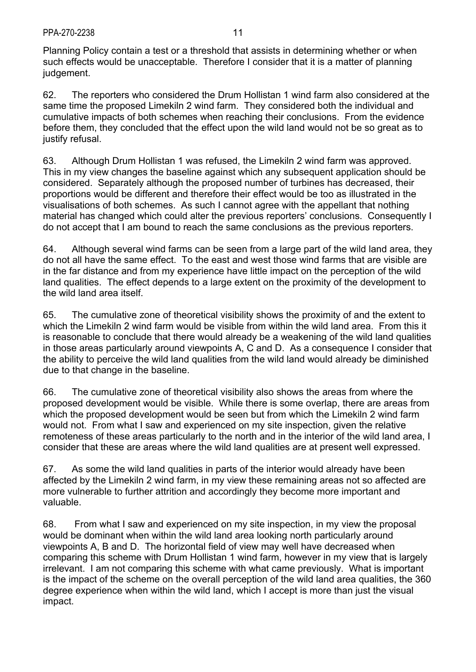Planning Policy contain a test or a threshold that assists in determining whether or when such effects would be unacceptable. Therefore I consider that it is a matter of planning judgement.

62. The reporters who considered the Drum Hollistan 1 wind farm also considered at the same time the proposed Limekiln 2 wind farm. They considered both the individual and cumulative impacts of both schemes when reaching their conclusions. From the evidence before them, they concluded that the effect upon the wild land would not be so great as to justify refusal.

63. Although Drum Hollistan 1 was refused, the Limekiln 2 wind farm was approved. This in my view changes the baseline against which any subsequent application should be considered. Separately although the proposed number of turbines has decreased, their proportions would be different and therefore their effect would be too as illustrated in the visualisations of both schemes. As such I cannot agree with the appellant that nothing material has changed which could alter the previous reporters' conclusions. Consequently I do not accept that I am bound to reach the same conclusions as the previous reporters.

64. Although several wind farms can be seen from a large part of the wild land area, they do not all have the same effect. To the east and west those wind farms that are visible are in the far distance and from my experience have little impact on the perception of the wild land qualities. The effect depends to a large extent on the proximity of the development to the wild land area itself.

65. The cumulative zone of theoretical visibility shows the proximity of and the extent to which the Limekiln 2 wind farm would be visible from within the wild land area. From this it is reasonable to conclude that there would already be a weakening of the wild land qualities in those areas particularly around viewpoints A, C and D. As a consequence I consider that the ability to perceive the wild land qualities from the wild land would already be diminished due to that change in the baseline.

66. The cumulative zone of theoretical visibility also shows the areas from where the proposed development would be visible. While there is some overlap, there are areas from which the proposed development would be seen but from which the Limekiln 2 wind farm would not. From what I saw and experienced on my site inspection, given the relative remoteness of these areas particularly to the north and in the interior of the wild land area, I consider that these are areas where the wild land qualities are at present well expressed.

67. As some the wild land qualities in parts of the interior would already have been affected by the Limekiln 2 wind farm, in my view these remaining areas not so affected are more vulnerable to further attrition and accordingly they become more important and valuable.

68. From what I saw and experienced on my site inspection, in my view the proposal would be dominant when within the wild land area looking north particularly around viewpoints A, B and D. The horizontal field of view may well have decreased when comparing this scheme with Drum Hollistan 1 wind farm, however in my view that is largely irrelevant. I am not comparing this scheme with what came previously. What is important is the impact of the scheme on the overall perception of the wild land area qualities, the 360 degree experience when within the wild land, which I accept is more than just the visual impact.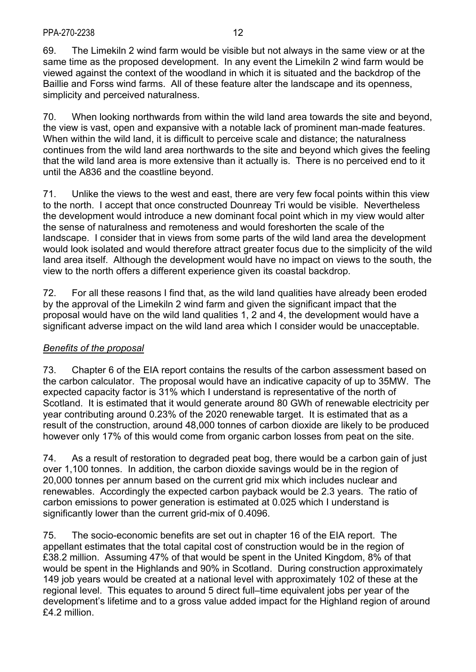69. The Limekiln 2 wind farm would be visible but not always in the same view or at the same time as the proposed development. In any event the Limekiln 2 wind farm would be viewed against the context of the woodland in which it is situated and the backdrop of the Baillie and Forss wind farms. All of these feature alter the landscape and its openness, simplicity and perceived naturalness.

70. When looking northwards from within the wild land area towards the site and beyond, the view is vast, open and expansive with a notable lack of prominent man-made features. When within the wild land, it is difficult to perceive scale and distance; the naturalness continues from the wild land area northwards to the site and beyond which gives the feeling that the wild land area is more extensive than it actually is. There is no perceived end to it until the A836 and the coastline beyond.

71. Unlike the views to the west and east, there are very few focal points within this view to the north. I accept that once constructed Dounreay Tri would be visible. Nevertheless the development would introduce a new dominant focal point which in my view would alter the sense of naturalness and remoteness and would foreshorten the scale of the landscape. I consider that in views from some parts of the wild land area the development would look isolated and would therefore attract greater focus due to the simplicity of the wild land area itself. Although the development would have no impact on views to the south, the view to the north offers a different experience given its coastal backdrop.

72. For all these reasons I find that, as the wild land qualities have already been eroded by the approval of the Limekiln 2 wind farm and given the significant impact that the proposal would have on the wild land qualities 1, 2 and 4, the development would have a significant adverse impact on the wild land area which I consider would be unacceptable.

## *Benefits of the proposal*

73. Chapter 6 of the EIA report contains the results of the carbon assessment based on the carbon calculator. The proposal would have an indicative capacity of up to 35MW. The expected capacity factor is 31% which I understand is representative of the north of Scotland. It is estimated that it would generate around 80 GWh of renewable electricity per year contributing around 0.23% of the 2020 renewable target. It is estimated that as a result of the construction, around 48,000 tonnes of carbon dioxide are likely to be produced however only 17% of this would come from organic carbon losses from peat on the site.

74. As a result of restoration to degraded peat bog, there would be a carbon gain of just over 1,100 tonnes. In addition, the carbon dioxide savings would be in the region of 20,000 tonnes per annum based on the current grid mix which includes nuclear and renewables. Accordingly the expected carbon payback would be 2.3 years. The ratio of carbon emissions to power generation is estimated at 0.025 which I understand is significantly lower than the current grid-mix of 0.4096.

75. The socio-economic benefits are set out in chapter 16 of the EIA report. The appellant estimates that the total capital cost of construction would be in the region of £38.2 million. Assuming 47% of that would be spent in the United Kingdom, 8% of that would be spent in the Highlands and 90% in Scotland. During construction approximately 149 job years would be created at a national level with approximately 102 of these at the regional level. This equates to around 5 direct full–time equivalent jobs per year of the development's lifetime and to a gross value added impact for the Highland region of around £4.2 million.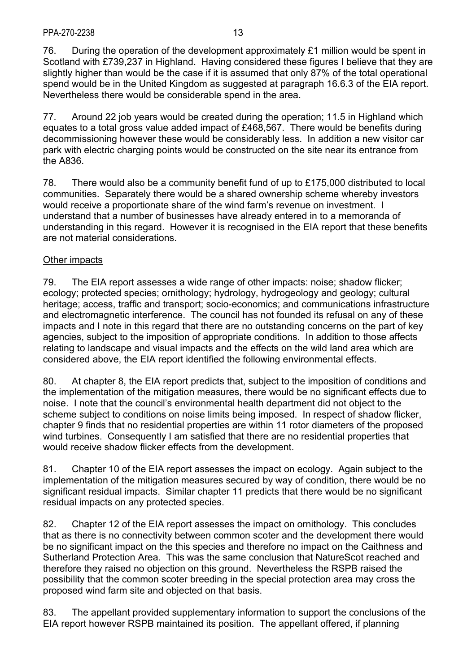76. During the operation of the development approximately £1 million would be spent in Scotland with £739,237 in Highland. Having considered these figures I believe that they are slightly higher than would be the case if it is assumed that only 87% of the total operational spend would be in the United Kingdom as suggested at paragraph 16.6.3 of the EIA report. Nevertheless there would be considerable spend in the area.

77. Around 22 job years would be created during the operation; 11.5 in Highland which equates to a total gross value added impact of £468,567. There would be benefits during decommissioning however these would be considerably less. In addition a new visitor car park with electric charging points would be constructed on the site near its entrance from the A836.

78. There would also be a community benefit fund of up to £175,000 distributed to local communities. Separately there would be a shared ownership scheme whereby investors would receive a proportionate share of the wind farm's revenue on investment. I understand that a number of businesses have already entered in to a memoranda of understanding in this regard. However it is recognised in the EIA report that these benefits are not material considerations.

## Other impacts

79. The EIA report assesses a wide range of other impacts: noise; shadow flicker; ecology; protected species; ornithology; hydrology, hydrogeology and geology; cultural heritage; access, traffic and transport; socio-economics; and communications infrastructure and electromagnetic interference. The council has not founded its refusal on any of these impacts and I note in this regard that there are no outstanding concerns on the part of key agencies, subject to the imposition of appropriate conditions. In addition to those affects relating to landscape and visual impacts and the effects on the wild land area which are considered above, the EIA report identified the following environmental effects.

80. At chapter 8, the EIA report predicts that, subject to the imposition of conditions and the implementation of the mitigation measures, there would be no significant effects due to noise. I note that the council's environmental health department did not object to the scheme subject to conditions on noise limits being imposed. In respect of shadow flicker, chapter 9 finds that no residential properties are within 11 rotor diameters of the proposed wind turbines. Consequently I am satisfied that there are no residential properties that would receive shadow flicker effects from the development.

81. Chapter 10 of the EIA report assesses the impact on ecology. Again subject to the implementation of the mitigation measures secured by way of condition, there would be no significant residual impacts. Similar chapter 11 predicts that there would be no significant residual impacts on any protected species.

82. Chapter 12 of the EIA report assesses the impact on ornithology. This concludes that as there is no connectivity between common scoter and the development there would be no significant impact on the this species and therefore no impact on the Caithness and Sutherland Protection Area. This was the same conclusion that NatureScot reached and therefore they raised no objection on this ground. Nevertheless the RSPB raised the possibility that the common scoter breeding in the special protection area may cross the proposed wind farm site and objected on that basis.

83. The appellant provided supplementary information to support the conclusions of the EIA report however RSPB maintained its position. The appellant offered, if planning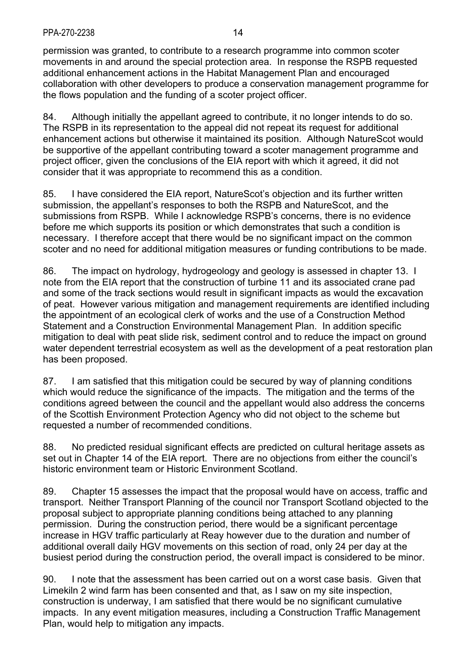permission was granted, to contribute to a research programme into common scoter movements in and around the special protection area. In response the RSPB requested additional enhancement actions in the Habitat Management Plan and encouraged collaboration with other developers to produce a conservation management programme for the flows population and the funding of a scoter project officer.

84. Although initially the appellant agreed to contribute, it no longer intends to do so. The RSPB in its representation to the appeal did not repeat its request for additional enhancement actions but otherwise it maintained its position. Although NatureScot would be supportive of the appellant contributing toward a scoter management programme and project officer, given the conclusions of the EIA report with which it agreed, it did not consider that it was appropriate to recommend this as a condition.

85. I have considered the EIA report, NatureScot's objection and its further written submission, the appellant's responses to both the RSPB and NatureScot, and the submissions from RSPB. While I acknowledge RSPB's concerns, there is no evidence before me which supports its position or which demonstrates that such a condition is necessary. I therefore accept that there would be no significant impact on the common scoter and no need for additional mitigation measures or funding contributions to be made.

86. The impact on hydrology, hydrogeology and geology is assessed in chapter 13. I note from the EIA report that the construction of turbine 11 and its associated crane pad and some of the track sections would result in significant impacts as would the excavation of peat. However various mitigation and management requirements are identified including the appointment of an ecological clerk of works and the use of a Construction Method Statement and a Construction Environmental Management Plan. In addition specific mitigation to deal with peat slide risk, sediment control and to reduce the impact on ground water dependent terrestrial ecosystem as well as the development of a peat restoration plan has been proposed.

87. I am satisfied that this mitigation could be secured by way of planning conditions which would reduce the significance of the impacts. The mitigation and the terms of the conditions agreed between the council and the appellant would also address the concerns of the Scottish Environment Protection Agency who did not object to the scheme but requested a number of recommended conditions.

88. No predicted residual significant effects are predicted on cultural heritage assets as set out in Chapter 14 of the EIA report. There are no objections from either the council's historic environment team or Historic Environment Scotland.

89. Chapter 15 assesses the impact that the proposal would have on access, traffic and transport. Neither Transport Planning of the council nor Transport Scotland objected to the proposal subject to appropriate planning conditions being attached to any planning permission. During the construction period, there would be a significant percentage increase in HGV traffic particularly at Reay however due to the duration and number of additional overall daily HGV movements on this section of road, only 24 per day at the busiest period during the construction period, the overall impact is considered to be minor.

90. I note that the assessment has been carried out on a worst case basis. Given that Limekiln 2 wind farm has been consented and that, as I saw on my site inspection, construction is underway, I am satisfied that there would be no significant cumulative impacts. In any event mitigation measures, including a Construction Traffic Management Plan, would help to mitigation any impacts.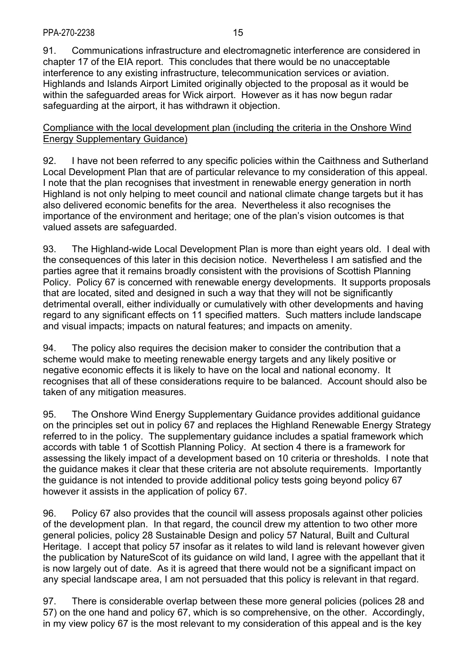91. Communications infrastructure and electromagnetic interference are considered in chapter 17 of the EIA report. This concludes that there would be no unacceptable interference to any existing infrastructure, telecommunication services or aviation. Highlands and Islands Airport Limited originally objected to the proposal as it would be within the safeguarded areas for Wick airport. However as it has now begun radar safeguarding at the airport, it has withdrawn it objection.

### Compliance with the local development plan (including the criteria in the Onshore Wind Energy Supplementary Guidance)

92. I have not been referred to any specific policies within the Caithness and Sutherland Local Development Plan that are of particular relevance to my consideration of this appeal. I note that the plan recognises that investment in renewable energy generation in north Highland is not only helping to meet council and national climate change targets but it has also delivered economic benefits for the area. Nevertheless it also recognises the importance of the environment and heritage; one of the plan's vision outcomes is that valued assets are safeguarded.

93. The Highland-wide Local Development Plan is more than eight years old. I deal with the consequences of this later in this decision notice. Nevertheless I am satisfied and the parties agree that it remains broadly consistent with the provisions of Scottish Planning Policy. Policy 67 is concerned with renewable energy developments. It supports proposals that are located, sited and designed in such a way that they will not be significantly detrimental overall, either individually or cumulatively with other developments and having regard to any significant effects on 11 specified matters. Such matters include landscape and visual impacts; impacts on natural features; and impacts on amenity.

94. The policy also requires the decision maker to consider the contribution that a scheme would make to meeting renewable energy targets and any likely positive or negative economic effects it is likely to have on the local and national economy. It recognises that all of these considerations require to be balanced. Account should also be taken of any mitigation measures.

95. The Onshore Wind Energy Supplementary Guidance provides additional guidance on the principles set out in policy 67 and replaces the Highland Renewable Energy Strategy referred to in the policy. The supplementary guidance includes a spatial framework which accords with table 1 of Scottish Planning Policy. At section 4 there is a framework for assessing the likely impact of a development based on 10 criteria or thresholds. I note that the guidance makes it clear that these criteria are not absolute requirements. Importantly the guidance is not intended to provide additional policy tests going beyond policy 67 however it assists in the application of policy 67.

96. Policy 67 also provides that the council will assess proposals against other policies of the development plan. In that regard, the council drew my attention to two other more general policies, policy 28 Sustainable Design and policy 57 Natural, Built and Cultural Heritage. I accept that policy 57 insofar as it relates to wild land is relevant however given the publication by NatureScot of its guidance on wild land, I agree with the appellant that it is now largely out of date. As it is agreed that there would not be a significant impact on any special landscape area, I am not persuaded that this policy is relevant in that regard.

97. There is considerable overlap between these more general policies (polices 28 and 57) on the one hand and policy 67, which is so comprehensive, on the other. Accordingly, in my view policy 67 is the most relevant to my consideration of this appeal and is the key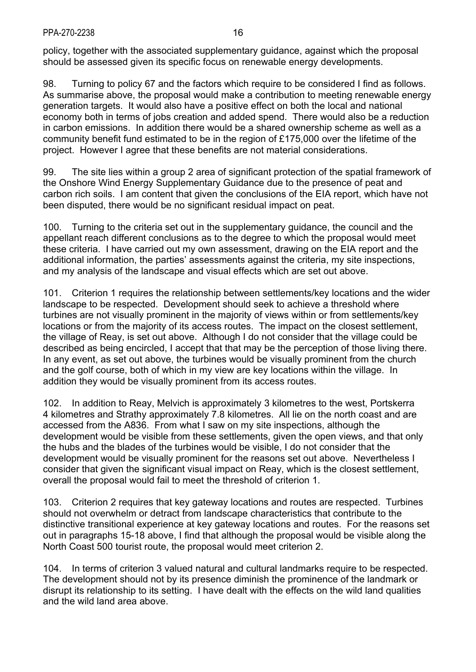policy, together with the associated supplementary guidance, against which the proposal should be assessed given its specific focus on renewable energy developments.

98. Turning to policy 67 and the factors which require to be considered I find as follows. As summarise above, the proposal would make a contribution to meeting renewable energy generation targets. It would also have a positive effect on both the local and national economy both in terms of jobs creation and added spend. There would also be a reduction in carbon emissions. In addition there would be a shared ownership scheme as well as a community benefit fund estimated to be in the region of £175,000 over the lifetime of the project. However I agree that these benefits are not material considerations.

99. The site lies within a group 2 area of significant protection of the spatial framework of the Onshore Wind Energy Supplementary Guidance due to the presence of peat and carbon rich soils. I am content that given the conclusions of the EIA report, which have not been disputed, there would be no significant residual impact on peat.

100. Turning to the criteria set out in the supplementary guidance, the council and the appellant reach different conclusions as to the degree to which the proposal would meet these criteria. I have carried out my own assessment, drawing on the EIA report and the additional information, the parties' assessments against the criteria, my site inspections, and my analysis of the landscape and visual effects which are set out above.

101. Criterion 1 requires the relationship between settlements/key locations and the wider landscape to be respected. Development should seek to achieve a threshold where turbines are not visually prominent in the majority of views within or from settlements/key locations or from the majority of its access routes. The impact on the closest settlement, the village of Reay, is set out above. Although I do not consider that the village could be described as being encircled, I accept that that may be the perception of those living there. In any event, as set out above, the turbines would be visually prominent from the church and the golf course, both of which in my view are key locations within the village. In addition they would be visually prominent from its access routes.

102. In addition to Reay, Melvich is approximately 3 kilometres to the west, Portskerra 4 kilometres and Strathy approximately 7.8 kilometres. All lie on the north coast and are accessed from the A836. From what I saw on my site inspections, although the development would be visible from these settlements, given the open views, and that only the hubs and the blades of the turbines would be visible, I do not consider that the development would be visually prominent for the reasons set out above. Nevertheless I consider that given the significant visual impact on Reay, which is the closest settlement, overall the proposal would fail to meet the threshold of criterion 1.

103. Criterion 2 requires that key gateway locations and routes are respected. Turbines should not overwhelm or detract from landscape characteristics that contribute to the distinctive transitional experience at key gateway locations and routes. For the reasons set out in paragraphs 15-18 above, I find that although the proposal would be visible along the North Coast 500 tourist route, the proposal would meet criterion 2.

104. In terms of criterion 3 valued natural and cultural landmarks require to be respected. The development should not by its presence diminish the prominence of the landmark or disrupt its relationship to its setting. I have dealt with the effects on the wild land qualities and the wild land area above.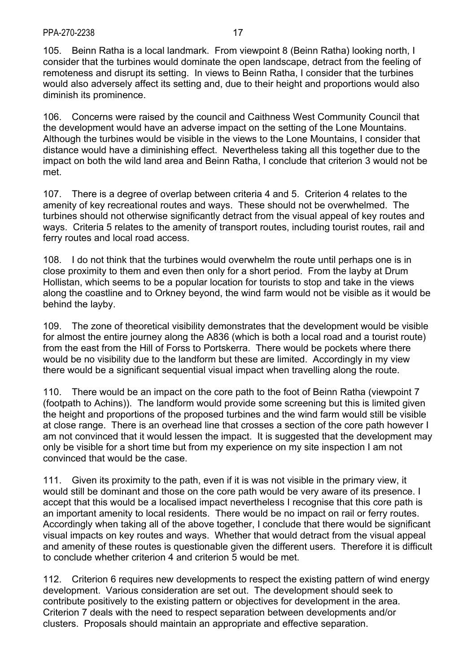105. Beinn Ratha is a local landmark. From viewpoint 8 (Beinn Ratha) looking north, I consider that the turbines would dominate the open landscape, detract from the feeling of remoteness and disrupt its setting. In views to Beinn Ratha, I consider that the turbines would also adversely affect its setting and, due to their height and proportions would also diminish its prominence.

106. Concerns were raised by the council and Caithness West Community Council that the development would have an adverse impact on the setting of the Lone Mountains. Although the turbines would be visible in the views to the Lone Mountains, I consider that distance would have a diminishing effect. Nevertheless taking all this together due to the impact on both the wild land area and Beinn Ratha, I conclude that criterion 3 would not be met.

107. There is a degree of overlap between criteria 4 and 5. Criterion 4 relates to the amenity of key recreational routes and ways. These should not be overwhelmed. The turbines should not otherwise significantly detract from the visual appeal of key routes and ways. Criteria 5 relates to the amenity of transport routes, including tourist routes, rail and ferry routes and local road access.

108. I do not think that the turbines would overwhelm the route until perhaps one is in close proximity to them and even then only for a short period. From the layby at Drum Hollistan, which seems to be a popular location for tourists to stop and take in the views along the coastline and to Orkney beyond, the wind farm would not be visible as it would be behind the layby.

109. The zone of theoretical visibility demonstrates that the development would be visible for almost the entire journey along the A836 (which is both a local road and a tourist route) from the east from the Hill of Forss to Portskerra. There would be pockets where there would be no visibility due to the landform but these are limited. Accordingly in my view there would be a significant sequential visual impact when travelling along the route.

110. There would be an impact on the core path to the foot of Beinn Ratha (viewpoint 7 (footpath to Achins)). The landform would provide some screening but this is limited given the height and proportions of the proposed turbines and the wind farm would still be visible at close range. There is an overhead line that crosses a section of the core path however I am not convinced that it would lessen the impact. It is suggested that the development may only be visible for a short time but from my experience on my site inspection I am not convinced that would be the case.

111. Given its proximity to the path, even if it is was not visible in the primary view, it would still be dominant and those on the core path would be very aware of its presence. I accept that this would be a localised impact nevertheless I recognise that this core path is an important amenity to local residents. There would be no impact on rail or ferry routes. Accordingly when taking all of the above together, I conclude that there would be significant visual impacts on key routes and ways. Whether that would detract from the visual appeal and amenity of these routes is questionable given the different users. Therefore it is difficult to conclude whether criterion 4 and criterion 5 would be met.

112. Criterion 6 requires new developments to respect the existing pattern of wind energy development. Various consideration are set out. The development should seek to contribute positively to the existing pattern or objectives for development in the area. Criterion 7 deals with the need to respect separation between developments and/or clusters. Proposals should maintain an appropriate and effective separation.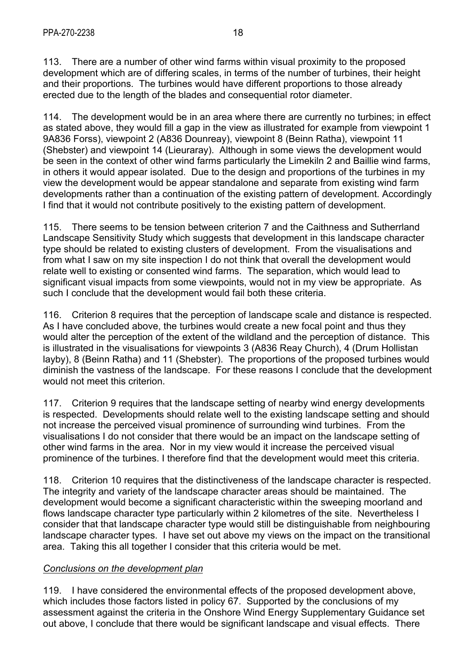113. There are a number of other wind farms within visual proximity to the proposed development which are of differing scales, in terms of the number of turbines, their height and their proportions. The turbines would have different proportions to those already erected due to the length of the blades and consequential rotor diameter.

114. The development would be in an area where there are currently no turbines; in effect as stated above, they would fill a gap in the view as illustrated for example from viewpoint 1 9A836 Forss), viewpoint 2 (A836 Dounreay), viewpoint 8 (Beinn Ratha), viewpoint 11 (Shebster) and viewpoint 14 (Lieuraray). Although in some views the development would be seen in the context of other wind farms particularly the Limekiln 2 and Baillie wind farms, in others it would appear isolated. Due to the design and proportions of the turbines in my view the development would be appear standalone and separate from existing wind farm developments rather than a continuation of the existing pattern of development. Accordingly I find that it would not contribute positively to the existing pattern of development.

115. There seems to be tension between criterion 7 and the Caithness and Sutherrland Landscape Sensitivity Study which suggests that development in this landscape character type should be related to existing clusters of development. From the visualisations and from what I saw on my site inspection I do not think that overall the development would relate well to existing or consented wind farms. The separation, which would lead to significant visual impacts from some viewpoints, would not in my view be appropriate. As such I conclude that the development would fail both these criteria.

116. Criterion 8 requires that the perception of landscape scale and distance is respected. As I have concluded above, the turbines would create a new focal point and thus they would alter the perception of the extent of the wildland and the perception of distance. This is illustrated in the visualisations for viewpoints 3 (A836 Reay Church), 4 (Drum Hollistan layby), 8 (Beinn Ratha) and 11 (Shebster). The proportions of the proposed turbines would diminish the vastness of the landscape. For these reasons I conclude that the development would not meet this criterion.

117. Criterion 9 requires that the landscape setting of nearby wind energy developments is respected. Developments should relate well to the existing landscape setting and should not increase the perceived visual prominence of surrounding wind turbines. From the visualisations I do not consider that there would be an impact on the landscape setting of other wind farms in the area. Nor in my view would it increase the perceived visual prominence of the turbines. I therefore find that the development would meet this criteria.

118. Criterion 10 requires that the distinctiveness of the landscape character is respected. The integrity and variety of the landscape character areas should be maintained. The development would become a significant characteristic within the sweeping moorland and flows landscape character type particularly within 2 kilometres of the site. Nevertheless I consider that that landscape character type would still be distinguishable from neighbouring landscape character types. I have set out above my views on the impact on the transitional area. Taking this all together I consider that this criteria would be met.

## *Conclusions on the development plan*

119. I have considered the environmental effects of the proposed development above, which includes those factors listed in policy 67. Supported by the conclusions of my assessment against the criteria in the Onshore Wind Energy Supplementary Guidance set out above, I conclude that there would be significant landscape and visual effects. There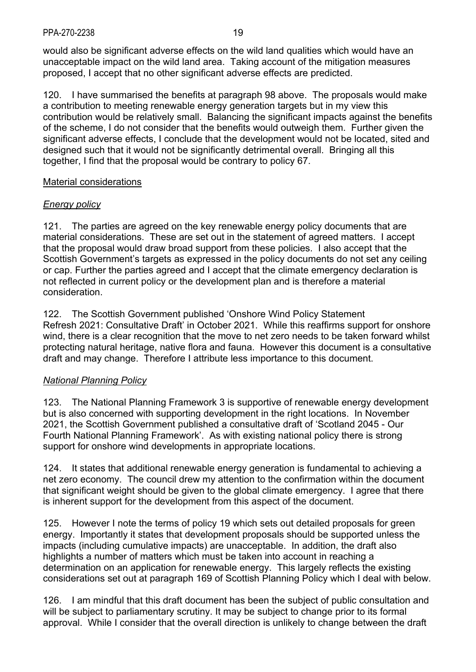would also be significant adverse effects on the wild land qualities which would have an unacceptable impact on the wild land area. Taking account of the mitigation measures proposed, I accept that no other significant adverse effects are predicted.

120. I have summarised the benefits at paragraph 98 above. The proposals would make a contribution to meeting renewable energy generation targets but in my view this contribution would be relatively small. Balancing the significant impacts against the benefits of the scheme, I do not consider that the benefits would outweigh them. Further given the significant adverse effects, I conclude that the development would not be located, sited and designed such that it would not be significantly detrimental overall. Bringing all this together, I find that the proposal would be contrary to policy 67.

### Material considerations

### *Energy policy*

121. The parties are agreed on the key renewable energy policy documents that are material considerations. These are set out in the statement of agreed matters. I accept that the proposal would draw broad support from these policies. I also accept that the Scottish Government's targets as expressed in the policy documents do not set any ceiling or cap. Further the parties agreed and I accept that the climate emergency declaration is not reflected in current policy or the development plan and is therefore a material consideration.

122. The Scottish Government published 'Onshore Wind Policy Statement Refresh 2021: Consultative Draft' in October 2021. While this reaffirms support for onshore wind, there is a clear recognition that the move to net zero needs to be taken forward whilst protecting natural heritage, native flora and fauna. However this document is a consultative draft and may change. Therefore I attribute less importance to this document.

## *National Planning Policy*

123. The National Planning Framework 3 is supportive of renewable energy development but is also concerned with supporting development in the right locations. In November 2021, the Scottish Government published a consultative draft of 'Scotland 2045 - Our Fourth National Planning Framework'. As with existing national policy there is strong support for onshore wind developments in appropriate locations.

124. It states that additional renewable energy generation is fundamental to achieving a net zero economy. The council drew my attention to the confirmation within the document that significant weight should be given to the global climate emergency. I agree that there is inherent support for the development from this aspect of the document.

125. However I note the terms of policy 19 which sets out detailed proposals for green energy. Importantly it states that development proposals should be supported unless the impacts (including cumulative impacts) are unacceptable. In addition, the draft also highlights a number of matters which must be taken into account in reaching a determination on an application for renewable energy. This largely reflects the existing considerations set out at paragraph 169 of Scottish Planning Policy which I deal with below.

126. I am mindful that this draft document has been the subject of public consultation and will be subject to parliamentary scrutiny. It may be subject to change prior to its formal approval. While I consider that the overall direction is unlikely to change between the draft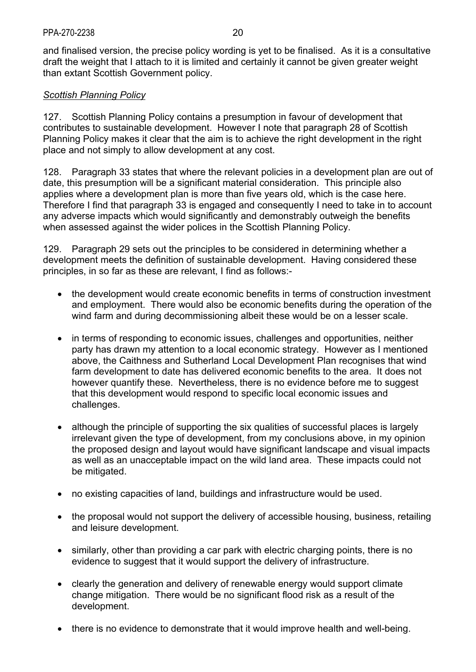and finalised version, the precise policy wording is yet to be finalised. As it is a consultative draft the weight that I attach to it is limited and certainly it cannot be given greater weight than extant Scottish Government policy.

## *Scottish Planning Policy*

127. Scottish Planning Policy contains a presumption in favour of development that contributes to sustainable development. However I note that paragraph 28 of Scottish Planning Policy makes it clear that the aim is to achieve the right development in the right place and not simply to allow development at any cost.

128. Paragraph 33 states that where the relevant policies in a development plan are out of date, this presumption will be a significant material consideration. This principle also applies where a development plan is more than five years old, which is the case here. Therefore I find that paragraph 33 is engaged and consequently I need to take in to account any adverse impacts which would significantly and demonstrably outweigh the benefits when assessed against the wider polices in the Scottish Planning Policy.

129. Paragraph 29 sets out the principles to be considered in determining whether a development meets the definition of sustainable development. Having considered these principles, in so far as these are relevant, I find as follows:-

- the development would create economic benefits in terms of construction investment and employment. There would also be economic benefits during the operation of the wind farm and during decommissioning albeit these would be on a lesser scale.
- in terms of responding to economic issues, challenges and opportunities, neither party has drawn my attention to a local economic strategy. However as I mentioned above, the Caithness and Sutherland Local Development Plan recognises that wind farm development to date has delivered economic benefits to the area. It does not however quantify these. Nevertheless, there is no evidence before me to suggest that this development would respond to specific local economic issues and challenges.
- although the principle of supporting the six qualities of successful places is largely irrelevant given the type of development, from my conclusions above, in my opinion the proposed design and layout would have significant landscape and visual impacts as well as an unacceptable impact on the wild land area. These impacts could not be mitigated.
- no existing capacities of land, buildings and infrastructure would be used.
- the proposal would not support the delivery of accessible housing, business, retailing and leisure development.
- similarly, other than providing a car park with electric charging points, there is no evidence to suggest that it would support the delivery of infrastructure.
- clearly the generation and delivery of renewable energy would support climate change mitigation. There would be no significant flood risk as a result of the development.
- there is no evidence to demonstrate that it would improve health and well-being.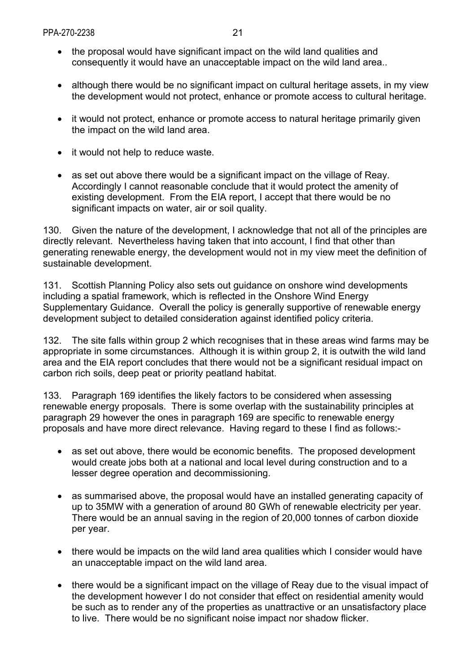- the proposal would have significant impact on the wild land qualities and consequently it would have an unacceptable impact on the wild land area..
- although there would be no significant impact on cultural heritage assets, in my view the development would not protect, enhance or promote access to cultural heritage.
- it would not protect, enhance or promote access to natural heritage primarily given the impact on the wild land area.
- it would not help to reduce waste.
- as set out above there would be a significant impact on the village of Reay. Accordingly I cannot reasonable conclude that it would protect the amenity of existing development. From the EIA report, I accept that there would be no significant impacts on water, air or soil quality.

130. Given the nature of the development, I acknowledge that not all of the principles are directly relevant. Nevertheless having taken that into account, I find that other than generating renewable energy, the development would not in my view meet the definition of sustainable development.

131. Scottish Planning Policy also sets out guidance on onshore wind developments including a spatial framework, which is reflected in the Onshore Wind Energy Supplementary Guidance. Overall the policy is generally supportive of renewable energy development subject to detailed consideration against identified policy criteria.

132. The site falls within group 2 which recognises that in these areas wind farms may be appropriate in some circumstances. Although it is within group 2, it is outwith the wild land area and the EIA report concludes that there would not be a significant residual impact on carbon rich soils, deep peat or priority peatland habitat.

133. Paragraph 169 identifies the likely factors to be considered when assessing renewable energy proposals. There is some overlap with the sustainability principles at paragraph 29 however the ones in paragraph 169 are specific to renewable energy proposals and have more direct relevance. Having regard to these I find as follows:-

- as set out above, there would be economic benefits. The proposed development would create jobs both at a national and local level during construction and to a lesser degree operation and decommissioning.
- as summarised above, the proposal would have an installed generating capacity of up to 35MW with a generation of around 80 GWh of renewable electricity per year. There would be an annual saving in the region of 20,000 tonnes of carbon dioxide per year.
- there would be impacts on the wild land area qualities which I consider would have an unacceptable impact on the wild land area.
- there would be a significant impact on the village of Reay due to the visual impact of the development however I do not consider that effect on residential amenity would be such as to render any of the properties as unattractive or an unsatisfactory place to live. There would be no significant noise impact nor shadow flicker.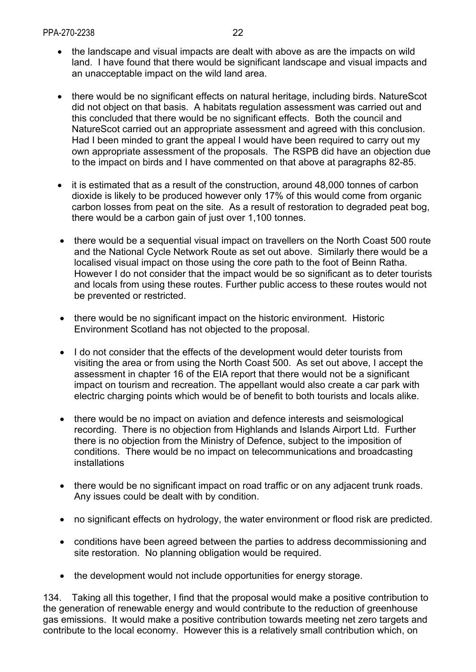- the landscape and visual impacts are dealt with above as are the impacts on wild land. I have found that there would be significant landscape and visual impacts and an unacceptable impact on the wild land area.
- there would be no significant effects on natural heritage, including birds. NatureScot did not object on that basis. A habitats regulation assessment was carried out and this concluded that there would be no significant effects. Both the council and NatureScot carried out an appropriate assessment and agreed with this conclusion. Had I been minded to grant the appeal I would have been required to carry out my own appropriate assessment of the proposals. The RSPB did have an objection due to the impact on birds and I have commented on that above at paragraphs 82-85.
- it is estimated that as a result of the construction, around 48,000 tonnes of carbon dioxide is likely to be produced however only 17% of this would come from organic carbon losses from peat on the site. As a result of restoration to degraded peat bog, there would be a carbon gain of just over 1,100 tonnes.
- there would be a sequential visual impact on travellers on the North Coast 500 route and the National Cycle Network Route as set out above. Similarly there would be a localised visual impact on those using the core path to the foot of Beinn Ratha. However I do not consider that the impact would be so significant as to deter tourists and locals from using these routes. Further public access to these routes would not be prevented or restricted.
- there would be no significant impact on the historic environment. Historic Environment Scotland has not objected to the proposal.
- I do not consider that the effects of the development would deter tourists from visiting the area or from using the North Coast 500. As set out above, I accept the assessment in chapter 16 of the EIA report that there would not be a significant impact on tourism and recreation. The appellant would also create a car park with electric charging points which would be of benefit to both tourists and locals alike.
- there would be no impact on aviation and defence interests and seismological recording. There is no objection from Highlands and Islands Airport Ltd. Further there is no objection from the Ministry of Defence, subject to the imposition of conditions. There would be no impact on telecommunications and broadcasting installations
- there would be no significant impact on road traffic or on any adjacent trunk roads. Any issues could be dealt with by condition.
- no significant effects on hydrology, the water environment or flood risk are predicted.
- conditions have been agreed between the parties to address decommissioning and site restoration. No planning obligation would be required.
- the development would not include opportunities for energy storage.

134. Taking all this together, I find that the proposal would make a positive contribution to the generation of renewable energy and would contribute to the reduction of greenhouse gas emissions. It would make a positive contribution towards meeting net zero targets and contribute to the local economy. However this is a relatively small contribution which, on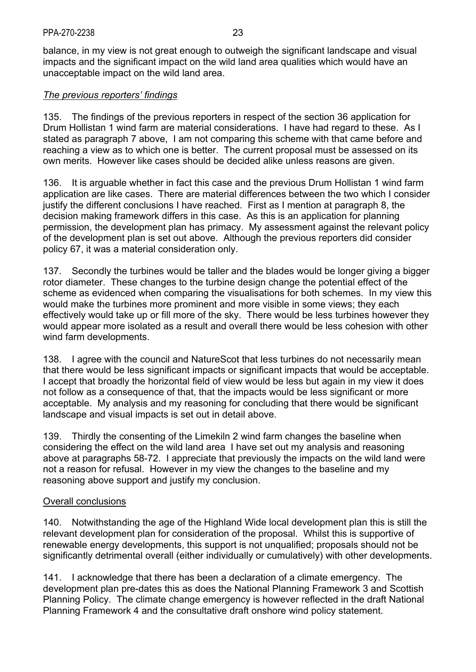balance, in my view is not great enough to outweigh the significant landscape and visual impacts and the significant impact on the wild land area qualities which would have an unacceptable impact on the wild land area.

## *The previous reporters' findings*

135. The findings of the previous reporters in respect of the section 36 application for Drum Hollistan 1 wind farm are material considerations. I have had regard to these. As I stated as paragraph 7 above, I am not comparing this scheme with that came before and reaching a view as to which one is better. The current proposal must be assessed on its own merits. However like cases should be decided alike unless reasons are given.

136. It is arguable whether in fact this case and the previous Drum Hollistan 1 wind farm application are like cases. There are material differences between the two which I consider justify the different conclusions I have reached. First as I mention at paragraph 8, the decision making framework differs in this case. As this is an application for planning permission, the development plan has primacy. My assessment against the relevant policy of the development plan is set out above. Although the previous reporters did consider policy 67, it was a material consideration only.

137. Secondly the turbines would be taller and the blades would be longer giving a bigger rotor diameter. These changes to the turbine design change the potential effect of the scheme as evidenced when comparing the visualisations for both schemes. In my view this would make the turbines more prominent and more visible in some views; they each effectively would take up or fill more of the sky. There would be less turbines however they would appear more isolated as a result and overall there would be less cohesion with other wind farm developments.

138. I agree with the council and NatureScot that less turbines do not necessarily mean that there would be less significant impacts or significant impacts that would be acceptable. I accept that broadly the horizontal field of view would be less but again in my view it does not follow as a consequence of that, that the impacts would be less significant or more acceptable. My analysis and my reasoning for concluding that there would be significant landscape and visual impacts is set out in detail above.

139. Thirdly the consenting of the Limekiln 2 wind farm changes the baseline when considering the effect on the wild land area I have set out my analysis and reasoning above at paragraphs 58-72. I appreciate that previously the impacts on the wild land were not a reason for refusal. However in my view the changes to the baseline and my reasoning above support and justify my conclusion.

### Overall conclusions

140. Notwithstanding the age of the Highland Wide local development plan this is still the relevant development plan for consideration of the proposal. Whilst this is supportive of renewable energy developments, this support is not unqualified; proposals should not be significantly detrimental overall (either individually or cumulatively) with other developments.

141. I acknowledge that there has been a declaration of a climate emergency. The development plan pre-dates this as does the National Planning Framework 3 and Scottish Planning Policy. The climate change emergency is however reflected in the draft National Planning Framework 4 and the consultative draft onshore wind policy statement.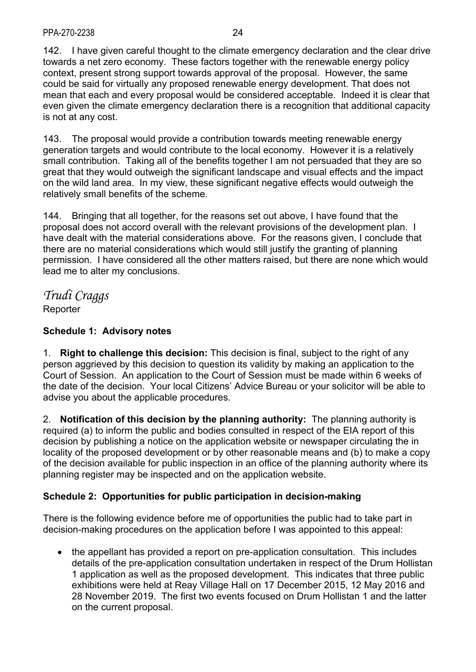142. I have given careful thought to the climate emergency declaration and the clear drive towards a net zero economy. These factors together with the renewable energy policy context, present strong support towards approval of the proposal. However, the same could be said for virtually any proposed renewable energy development. That does not mean that each and every proposal would be considered acceptable. Indeed it is clear that even given the climate emergency declaration there is a recognition that additional capacity is not at any cost.

143. The proposal would provide a contribution towards meeting renewable energy generation targets and would contribute to the local economy. However it is a relatively small contribution. Taking all of the benefits together I am not persuaded that they are so great that they would outweigh the significant landscape and visual effects and the impact on the wild land area. In my view, these significant negative effects would outweigh the relatively small benefits of the scheme.

144. Bringing that all together, for the reasons set out above, I have found that the proposal does not accord overall with the relevant provisions of the development plan. I have dealt with the material considerations above. For the reasons given, I conclude that there are no material considerations which would still justify the granting of planning permission. I have considered all the other matters raised, but there are none which would lead me to alter my conclusions.

*Trudi Craggs*  **Reporter** 

# **Schedule 1: Advisory notes**

1. **Right to challenge this decision:** This decision is final, subject to the right of any person aggrieved by this decision to question its validity by making an application to the Court of Session. An application to the Court of Session must be made within 6 weeks of the date of the decision. Your local Citizens' Advice Bureau or your solicitor will be able to advise you about the applicable procedures.

2. **Notification of this decision by the planning authority:** The planning authority is required (a) to inform the public and bodies consulted in respect of the EIA report of this decision by publishing a notice on the application website or newspaper circulating the in locality of the proposed development or by other reasonable means and (b) to make a copy of the decision available for public inspection in an office of the planning authority where its planning register may be inspected and on the application website.

## **Schedule 2: Opportunities for public participation in decision-making**

There is the following evidence before me of opportunities the public had to take part in decision-making procedures on the application before I was appointed to this appeal:

• the appellant has provided a report on pre-application consultation. This includes details of the pre-application consultation undertaken in respect of the Drum Hollistan 1 application as well as the proposed development. This indicates that three public exhibitions were held at Reay Village Hall on 17 December 2015, 12 May 2016 and 28 November 2019. The first two events focused on Drum Hollistan 1 and the latter on the current proposal.